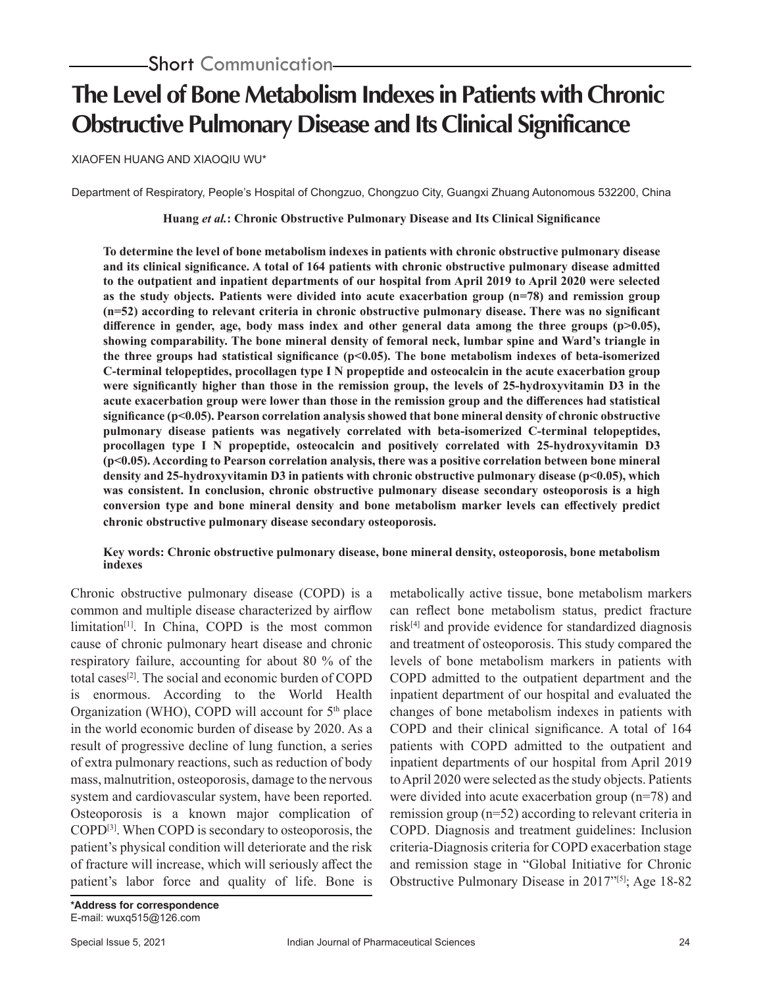# **The Level of Bone Metabolism Indexes in Patients with Chronic Obstructive Pulmonary Disease and Its Clinical Significance**

XIAOFEN HUANG AND XIAOQIU WU\*

Department of Respiratory, People's Hospital of Chongzuo, Chongzuo City, Guangxi Zhuang Autonomous 532200, China

**Huang** *et al.***: Chronic Obstructive Pulmonary Disease and Its Clinical Significance**

**To determine the level of bone metabolism indexes in patients with chronic obstructive pulmonary disease and its clinical significance. A total of 164 patients with chronic obstructive pulmonary disease admitted to the outpatient and inpatient departments of our hospital from April 2019 to April 2020 were selected as the study objects. Patients were divided into acute exacerbation group (n=78) and remission group (n=52) according to relevant criteria in chronic obstructive pulmonary disease. There was no significant**  difference in gender, age, body mass index and other general data among the three groups (p>0.05), **showing comparability. The bone mineral density of femoral neck, lumbar spine and Ward's triangle in the three groups had statistical significance (p<0.05). The bone metabolism indexes of beta-isomerized C-terminal telopeptides, procollagen type I N propeptide and osteocalcin in the acute exacerbation group were significantly higher than those in the remission group, the levels of 25-hydroxyvitamin D3 in the acute exacerbation group were lower than those in the remission group and the differences had statistical significance (p<0.05). Pearson correlation analysis showed that bone mineral density of chronic obstructive pulmonary disease patients was negatively correlated with beta-isomerized C-terminal telopeptides, procollagen type I N propeptide, osteocalcin and positively correlated with 25-hydroxyvitamin D3 (p<0.05). According to Pearson correlation analysis, there was a positive correlation between bone mineral density and 25-hydroxyvitamin D3 in patients with chronic obstructive pulmonary disease (p<0.05), which was consistent. In conclusion, chronic obstructive pulmonary disease secondary osteoporosis is a high conversion type and bone mineral density and bone metabolism marker levels can effectively predict chronic obstructive pulmonary disease secondary osteoporosis.**

### **Key words: Chronic obstructive pulmonary disease, bone mineral density, osteoporosis, bone metabolism indexes**

Chronic obstructive pulmonary disease (COPD) is a common and multiple disease characterized by airflow limitation<sup>[1]</sup>. In China, COPD is the most common cause of chronic pulmonary heart disease and chronic respiratory failure, accounting for about 80 % of the total cases[2]. The social and economic burden of COPD is enormous. According to the World Health Organization (WHO), COPD will account for  $5<sup>th</sup>$  place in the world economic burden of disease by 2020. As a result of progressive decline of lung function, a series of extra pulmonary reactions, such as reduction of body mass, malnutrition, osteoporosis, damage to the nervous system and cardiovascular system, have been reported. Osteoporosis is a known major complication of COPD[3]. When COPD is secondary to osteoporosis, the patient's physical condition will deteriorate and the risk of fracture will increase, which will seriously affect the patient's labor force and quality of life. Bone is metabolically active tissue, bone metabolism markers can reflect bone metabolism status, predict fracture  $risk^{[4]}$  and provide evidence for standardized diagnosis and treatment of osteoporosis. This study compared the levels of bone metabolism markers in patients with COPD admitted to the outpatient department and the inpatient department of our hospital and evaluated the changes of bone metabolism indexes in patients with COPD and their clinical significance. A total of 164 patients with COPD admitted to the outpatient and inpatient departments of our hospital from April 2019 to April 2020 were selected as the study objects. Patients were divided into acute exacerbation group (n=78) and remission group (n=52) according to relevant criteria in COPD. Diagnosis and treatment guidelines: Inclusion criteria-Diagnosis criteria for COPD exacerbation stage and remission stage in "Global Initiative for Chronic Obstructive Pulmonary Disease in 2017"[5]; Age 18-82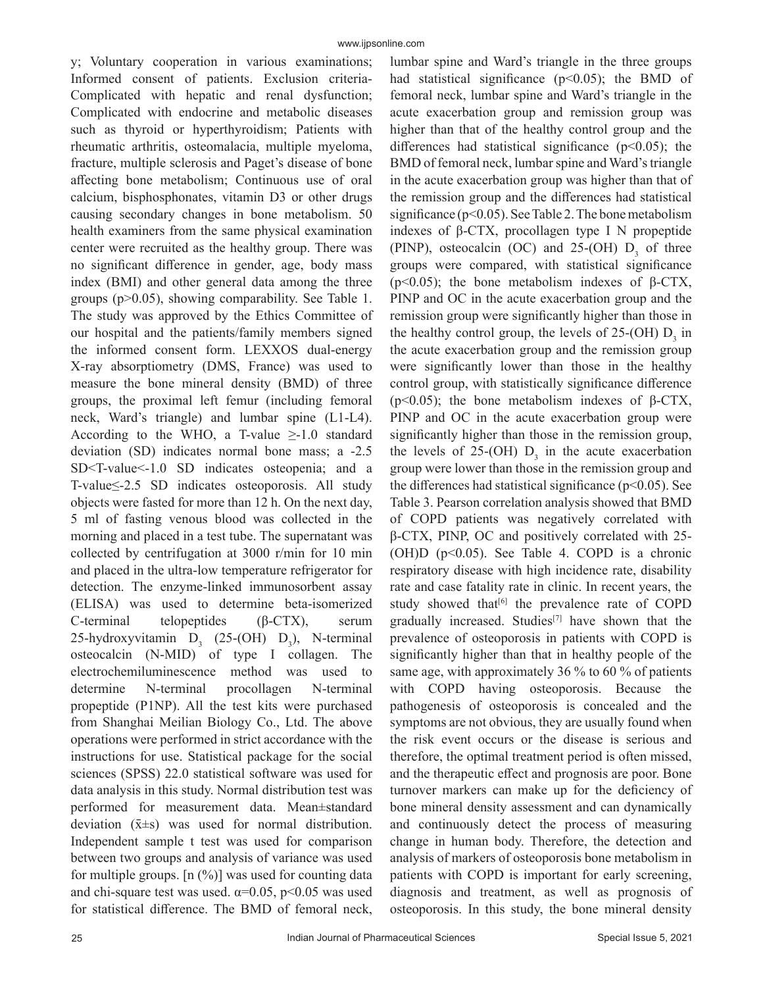y; Voluntary cooperation in various examinations; Informed consent of patients. Exclusion criteria-Complicated with hepatic and renal dysfunction; Complicated with endocrine and metabolic diseases such as thyroid or hyperthyroidism; Patients with rheumatic arthritis, osteomalacia, multiple myeloma, fracture, multiple sclerosis and Paget's disease of bone affecting bone metabolism; Continuous use of oral calcium, bisphosphonates, vitamin D3 or other drugs causing secondary changes in bone metabolism. 50 health examiners from the same physical examination center were recruited as the healthy group. There was no significant difference in gender, age, body mass index (BMI) and other general data among the three groups (p>0.05), showing comparability. See Table 1. The study was approved by the Ethics Committee of our hospital and the patients/family members signed the informed consent form. LEXXOS dual-energy X-ray absorptiometry (DMS, France) was used to measure the bone mineral density (BMD) of three groups, the proximal left femur (including femoral neck, Ward's triangle) and lumbar spine (L1-L4). According to the WHO, a T-value  $\geq$ -1.0 standard deviation (SD) indicates normal bone mass; a -2.5 SD<T-value<-1.0 SD indicates osteopenia; and a T-value≤-2.5 SD indicates osteoporosis. All study objects were fasted for more than 12 h. On the next day, 5 ml of fasting venous blood was collected in the morning and placed in a test tube. The supernatant was collected by centrifugation at 3000 r/min for 10 min and placed in the ultra-low temperature refrigerator for detection. The enzyme-linked immunosorbent assay (ELISA) was used to determine beta-isomerized C-terminal telopeptides (β-CTX), serum 25-hydroxyvitamin  $D_3$  (25-(OH)  $D_3$ ), N-terminal osteocalcin (N-MID) of type I collagen. The electrochemiluminescence method was used to determine N-terminal procollagen N-terminal propeptide (P1NP). All the test kits were purchased from Shanghai Meilian Biology Co., Ltd. The above operations were performed in strict accordance with the instructions for use. Statistical package for the social sciences (SPSS) 22.0 statistical software was used for data analysis in this study. Normal distribution test was performed for measurement data. Mean±standard deviation  $(\bar{x} \pm s)$  was used for normal distribution. Independent sample t test was used for comparison between two groups and analysis of variance was used for multiple groups.  $[n \, (\%)]$  was used for counting data and chi-square test was used.  $\alpha$ =0.05, p<0.05 was used for statistical difference. The BMD of femoral neck,

lumbar spine and Ward's triangle in the three groups had statistical significance ( $p$ <0.05); the BMD of femoral neck, lumbar spine and Ward's triangle in the acute exacerbation group and remission group was higher than that of the healthy control group and the differences had statistical significance ( $p$ <0.05); the BMD of femoral neck, lumbar spine and Ward's triangle in the acute exacerbation group was higher than that of the remission group and the differences had statistical significance ( $p<0.05$ ). See Table 2. The bone metabolism indexes of β-CTX, procollagen type I N propeptide (PINP), osteocalcin (OC) and 25-(OH)  $D_3$  of three groups were compared, with statistical significance (p<0.05); the bone metabolism indexes of β-CTX, PINP and OC in the acute exacerbation group and the remission group were significantly higher than those in the healthy control group, the levels of  $25$ -(OH)  $D_3$  in the acute exacerbation group and the remission group were significantly lower than those in the healthy control group, with statistically significance difference ( $p<0.05$ ); the bone metabolism indexes of  $\beta$ -CTX, PINP and OC in the acute exacerbation group were significantly higher than those in the remission group, the levels of 25-(OH)  $D_3$  in the acute exacerbation group were lower than those in the remission group and the differences had statistical significance ( $p$ <0.05). See Table 3. Pearson correlation analysis showed that BMD of COPD patients was negatively correlated with β-CTX, PINP, OC and positively correlated with 25- (OH)D (p<0.05). See Table 4. COPD is a chronic respiratory disease with high incidence rate, disability rate and case fatality rate in clinic. In recent years, the study showed that $[6]$  the prevalence rate of COPD gradually increased. Studies[7] have shown that the prevalence of osteoporosis in patients with COPD is significantly higher than that in healthy people of the same age, with approximately 36 % to 60 % of patients with COPD having osteoporosis. Because the pathogenesis of osteoporosis is concealed and the symptoms are not obvious, they are usually found when the risk event occurs or the disease is serious and therefore, the optimal treatment period is often missed, and the therapeutic effect and prognosis are poor. Bone turnover markers can make up for the deficiency of bone mineral density assessment and can dynamically and continuously detect the process of measuring change in human body. Therefore, the detection and analysis of markers of osteoporosis bone metabolism in patients with COPD is important for early screening, diagnosis and treatment, as well as prognosis of osteoporosis. In this study, the bone mineral density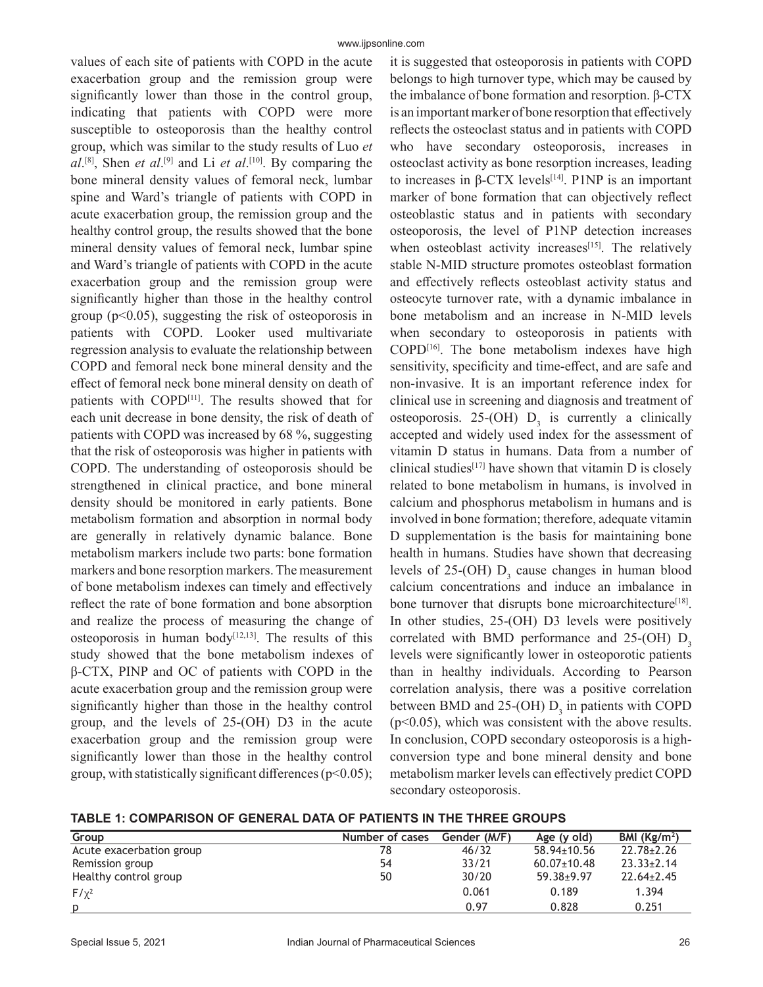values of each site of patients with COPD in the acute exacerbation group and the remission group were significantly lower than those in the control group, indicating that patients with COPD were more susceptible to osteoporosis than the healthy control group, which was similar to the study results of Luo *et al*. [8], Shen *et al*. [9] and Li *et al*. [10]. By comparing the bone mineral density values of femoral neck, lumbar spine and Ward's triangle of patients with COPD in acute exacerbation group, the remission group and the healthy control group, the results showed that the bone mineral density values of femoral neck, lumbar spine and Ward's triangle of patients with COPD in the acute exacerbation group and the remission group were significantly higher than those in the healthy control group ( $p<0.05$ ), suggesting the risk of osteoporosis in patients with COPD. Looker used multivariate regression analysis to evaluate the relationship between COPD and femoral neck bone mineral density and the effect of femoral neck bone mineral density on death of patients with COPD<sup>[11]</sup>. The results showed that for each unit decrease in bone density, the risk of death of patients with COPD was increased by 68 %, suggesting that the risk of osteoporosis was higher in patients with COPD. The understanding of osteoporosis should be strengthened in clinical practice, and bone mineral density should be monitored in early patients. Bone metabolism formation and absorption in normal body are generally in relatively dynamic balance. Bone metabolism markers include two parts: bone formation markers and bone resorption markers. The measurement of bone metabolism indexes can timely and effectively reflect the rate of bone formation and bone absorption and realize the process of measuring the change of osteoporosis in human body $[12,13]$ . The results of this study showed that the bone metabolism indexes of β-CTX, PINP and OC of patients with COPD in the acute exacerbation group and the remission group were significantly higher than those in the healthy control group, and the levels of 25-(OH) D3 in the acute exacerbation group and the remission group were significantly lower than those in the healthy control group, with statistically significant differences ( $p$ <0.05);

it is suggested that osteoporosis in patients with COPD belongs to high turnover type, which may be caused by the imbalance of bone formation and resorption. β-CTX is an important marker of bone resorption that effectively reflects the osteoclast status and in patients with COPD who have secondary osteoporosis, increases in osteoclast activity as bone resorption increases, leading to increases in  $β$ -CTX levels<sup>[14]</sup>. P1NP is an important marker of bone formation that can objectively reflect osteoblastic status and in patients with secondary osteoporosis, the level of P1NP detection increases when osteoblast activity increases<sup>[15]</sup>. The relatively stable N-MID structure promotes osteoblast formation and effectively reflects osteoblast activity status and osteocyte turnover rate, with a dynamic imbalance in bone metabolism and an increase in N-MID levels when secondary to osteoporosis in patients with COPD[16]. The bone metabolism indexes have high sensitivity, specificity and time-effect, and are safe and non-invasive. It is an important reference index for clinical use in screening and diagnosis and treatment of osteoporosis. 25-(OH)  $D_3$  is currently a clinically accepted and widely used index for the assessment of vitamin D status in humans. Data from a number of clinical studies<sup>[17]</sup> have shown that vitamin  $D$  is closely related to bone metabolism in humans, is involved in calcium and phosphorus metabolism in humans and is involved in bone formation; therefore, adequate vitamin D supplementation is the basis for maintaining bone health in humans. Studies have shown that decreasing levels of 25-(OH)  $D_3$  cause changes in human blood calcium concentrations and induce an imbalance in bone turnover that disrupts bone microarchitecture<sup>[18]</sup>. In other studies, 25-(OH) D3 levels were positively correlated with BMD performance and  $25-(OH)$  D<sub>2</sub> levels were significantly lower in osteoporotic patients than in healthy individuals. According to Pearson correlation analysis, there was a positive correlation between BMD and 25-(OH)  $D_3$  in patients with COPD  $(p<0.05)$ , which was consistent with the above results. In conclusion, COPD secondary osteoporosis is a highconversion type and bone mineral density and bone metabolism marker levels can effectively predict COPD secondary osteoporosis.

**TABLE 1: COMPARISON OF GENERAL DATA OF PATIENTS IN THE THREE GROUPS**

| Group                    | Number of cases | Gender (M/F) | Age (y old)       | BMI ( $\text{Kg/m}^2$ ) |
|--------------------------|-----------------|--------------|-------------------|-------------------------|
| Acute exacerbation group | 78              | 46/32        | 58.94±10.56       | $22.78 \pm 2.26$        |
| Remission group          | 54              | 33/21        | $60.07 \pm 10.48$ | $23.33 \pm 2.14$        |
| Healthy control group    | 50              | 30/20        | $59.38 + 9.97$    | $22.64 \pm 2.45$        |
| $F/\chi^2$               |                 | 0.061        | 0.189             | 1.394                   |
| p                        |                 | 0.97         | 0.828             | 0.251                   |